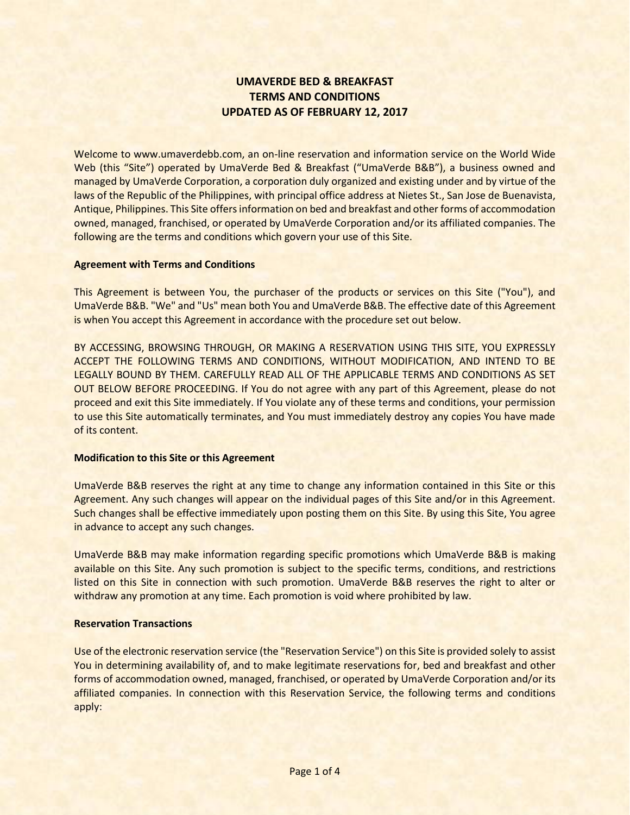# **UMAVERDE BED & BREAKFAST TERMS AND CONDITIONS UPDATED AS OF FEBRUARY 12, 2017**

Welcome to www.umaverdebb.com, an on-line reservation and information service on the World Wide Web (this "Site") operated by UmaVerde Bed & Breakfast ("UmaVerde B&B"), a business owned and managed by UmaVerde Corporation, a corporation duly organized and existing under and by virtue of the laws of the Republic of the Philippines, with principal office address at Nietes St., San Jose de Buenavista, Antique, Philippines. This Site offers information on bed and breakfast and other forms of accommodation owned, managed, franchised, or operated by UmaVerde Corporation and/or its affiliated companies. The following are the terms and conditions which govern your use of this Site.

#### **Agreement with Terms and Conditions**

This Agreement is between You, the purchaser of the products or services on this Site ("You"), and UmaVerde B&B. "We" and "Us" mean both You and UmaVerde B&B. The effective date of this Agreement is when You accept this Agreement in accordance with the procedure set out below.

BY ACCESSING, BROWSING THROUGH, OR MAKING A RESERVATION USING THIS SITE, YOU EXPRESSLY ACCEPT THE FOLLOWING TERMS AND CONDITIONS, WITHOUT MODIFICATION, AND INTEND TO BE LEGALLY BOUND BY THEM. CAREFULLY READ ALL OF THE APPLICABLE TERMS AND CONDITIONS AS SET OUT BELOW BEFORE PROCEEDING. If You do not agree with any part of this Agreement, please do not proceed and exit this Site immediately. If You violate any of these terms and conditions, your permission to use this Site automatically terminates, and You must immediately destroy any copies You have made of its content.

#### **Modification to this Site or this Agreement**

UmaVerde B&B reserves the right at any time to change any information contained in this Site or this Agreement. Any such changes will appear on the individual pages of this Site and/or in this Agreement. Such changes shall be effective immediately upon posting them on this Site. By using this Site, You agree in advance to accept any such changes.

UmaVerde B&B may make information regarding specific promotions which UmaVerde B&B is making available on this Site. Any such promotion is subject to the specific terms, conditions, and restrictions listed on this Site in connection with such promotion. UmaVerde B&B reserves the right to alter or withdraw any promotion at any time. Each promotion is void where prohibited by law.

#### **Reservation Transactions**

Use of the electronic reservation service (the "Reservation Service") on this Site is provided solely to assist You in determining availability of, and to make legitimate reservations for, bed and breakfast and other forms of accommodation owned, managed, franchised, or operated by UmaVerde Corporation and/or its affiliated companies. In connection with this Reservation Service, the following terms and conditions apply: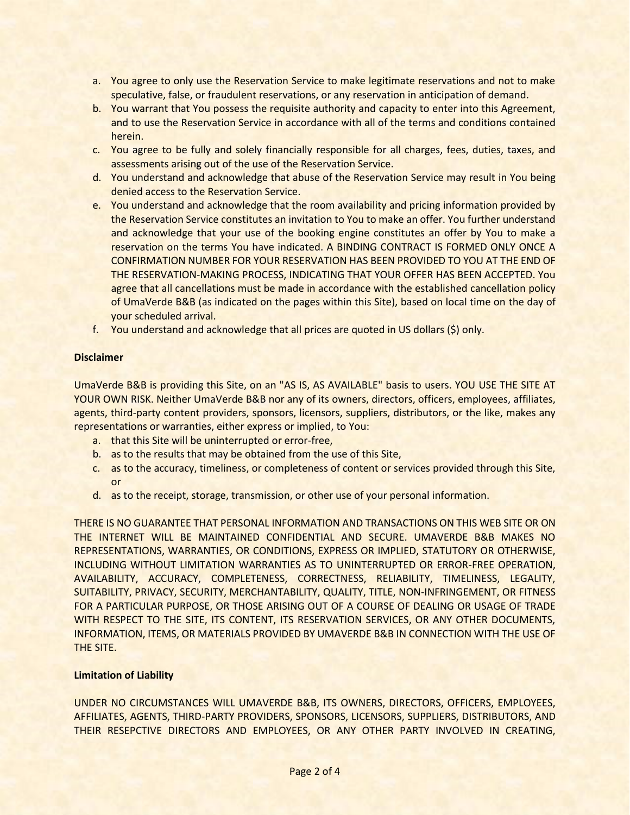- a. You agree to only use the Reservation Service to make legitimate reservations and not to make speculative, false, or fraudulent reservations, or any reservation in anticipation of demand.
- b. You warrant that You possess the requisite authority and capacity to enter into this Agreement, and to use the Reservation Service in accordance with all of the terms and conditions contained herein.
- c. You agree to be fully and solely financially responsible for all charges, fees, duties, taxes, and assessments arising out of the use of the Reservation Service.
- d. You understand and acknowledge that abuse of the Reservation Service may result in You being denied access to the Reservation Service.
- e. You understand and acknowledge that the room availability and pricing information provided by the Reservation Service constitutes an invitation to You to make an offer. You further understand and acknowledge that your use of the booking engine constitutes an offer by You to make a reservation on the terms You have indicated. A BINDING CONTRACT IS FORMED ONLY ONCE A CONFIRMATION NUMBER FOR YOUR RESERVATION HAS BEEN PROVIDED TO YOU AT THE END OF THE RESERVATION-MAKING PROCESS, INDICATING THAT YOUR OFFER HAS BEEN ACCEPTED. You agree that all cancellations must be made in accordance with the established cancellation policy of UmaVerde B&B (as indicated on the pages within this Site), based on local time on the day of your scheduled arrival.
- f. You understand and acknowledge that all prices are quoted in US dollars (\$) only.

# **Disclaimer**

UmaVerde B&B is providing this Site, on an "AS IS, AS AVAILABLE" basis to users. YOU USE THE SITE AT YOUR OWN RISK. Neither UmaVerde B&B nor any of its owners, directors, officers, employees, affiliates, agents, third-party content providers, sponsors, licensors, suppliers, distributors, or the like, makes any representations or warranties, either express or implied, to You:

- a. that this Site will be uninterrupted or error-free,
- b. as to the results that may be obtained from the use of this Site,
- c. as to the accuracy, timeliness, or completeness of content or services provided through this Site, or
- d. as to the receipt, storage, transmission, or other use of your personal information.

THERE IS NO GUARANTEE THAT PERSONAL INFORMATION AND TRANSACTIONS ON THIS WEB SITE OR ON THE INTERNET WILL BE MAINTAINED CONFIDENTIAL AND SECURE. UMAVERDE B&B MAKES NO REPRESENTATIONS, WARRANTIES, OR CONDITIONS, EXPRESS OR IMPLIED, STATUTORY OR OTHERWISE, INCLUDING WITHOUT LIMITATION WARRANTIES AS TO UNINTERRUPTED OR ERROR-FREE OPERATION, AVAILABILITY, ACCURACY, COMPLETENESS, CORRECTNESS, RELIABILITY, TIMELINESS, LEGALITY, SUITABILITY, PRIVACY, SECURITY, MERCHANTABILITY, QUALITY, TITLE, NON-INFRINGEMENT, OR FITNESS FOR A PARTICULAR PURPOSE, OR THOSE ARISING OUT OF A COURSE OF DEALING OR USAGE OF TRADE WITH RESPECT TO THE SITE, ITS CONTENT, ITS RESERVATION SERVICES, OR ANY OTHER DOCUMENTS, INFORMATION, ITEMS, OR MATERIALS PROVIDED BY UMAVERDE B&B IN CONNECTION WITH THE USE OF THE SITE.

# **Limitation of Liability**

UNDER NO CIRCUMSTANCES WILL UMAVERDE B&B, ITS OWNERS, DIRECTORS, OFFICERS, EMPLOYEES, AFFILIATES, AGENTS, THIRD-PARTY PROVIDERS, SPONSORS, LICENSORS, SUPPLIERS, DISTRIBUTORS, AND THEIR RESEPCTIVE DIRECTORS AND EMPLOYEES, OR ANY OTHER PARTY INVOLVED IN CREATING,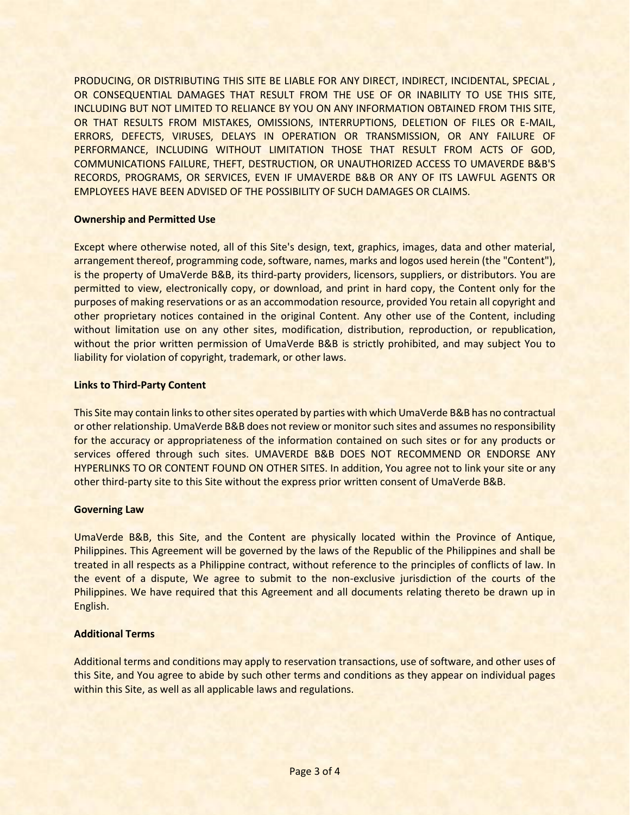PRODUCING, OR DISTRIBUTING THIS SITE BE LIABLE FOR ANY DIRECT, INDIRECT, INCIDENTAL, SPECIAL , OR CONSEQUENTIAL DAMAGES THAT RESULT FROM THE USE OF OR INABILITY TO USE THIS SITE, INCLUDING BUT NOT LIMITED TO RELIANCE BY YOU ON ANY INFORMATION OBTAINED FROM THIS SITE, OR THAT RESULTS FROM MISTAKES, OMISSIONS, INTERRUPTIONS, DELETION OF FILES OR E-MAIL, ERRORS, DEFECTS, VIRUSES, DELAYS IN OPERATION OR TRANSMISSION, OR ANY FAILURE OF PERFORMANCE, INCLUDING WITHOUT LIMITATION THOSE THAT RESULT FROM ACTS OF GOD, COMMUNICATIONS FAILURE, THEFT, DESTRUCTION, OR UNAUTHORIZED ACCESS TO UMAVERDE B&B'S RECORDS, PROGRAMS, OR SERVICES, EVEN IF UMAVERDE B&B OR ANY OF ITS LAWFUL AGENTS OR EMPLOYEES HAVE BEEN ADVISED OF THE POSSIBILITY OF SUCH DAMAGES OR CLAIMS.

## **Ownership and Permitted Use**

Except where otherwise noted, all of this Site's design, text, graphics, images, data and other material, arrangement thereof, programming code, software, names, marks and logos used herein (the "Content"), is the property of UmaVerde B&B, its third-party providers, licensors, suppliers, or distributors. You are permitted to view, electronically copy, or download, and print in hard copy, the Content only for the purposes of making reservations or as an accommodation resource, provided You retain all copyright and other proprietary notices contained in the original Content. Any other use of the Content, including without limitation use on any other sites, modification, distribution, reproduction, or republication, without the prior written permission of UmaVerde B&B is strictly prohibited, and may subject You to liability for violation of copyright, trademark, or other laws.

## **Links to Third-Party Content**

This Site may contain links to other sites operated by parties with which UmaVerde B&B has no contractual or other relationship. UmaVerde B&B does not review or monitor such sites and assumes no responsibility for the accuracy or appropriateness of the information contained on such sites or for any products or services offered through such sites. UMAVERDE B&B DOES NOT RECOMMEND OR ENDORSE ANY HYPERLINKS TO OR CONTENT FOUND ON OTHER SITES. In addition, You agree not to link your site or any other third-party site to this Site without the express prior written consent of UmaVerde B&B.

#### **Governing Law**

UmaVerde B&B, this Site, and the Content are physically located within the Province of Antique, Philippines. This Agreement will be governed by the laws of the Republic of the Philippines and shall be treated in all respects as a Philippine contract, without reference to the principles of conflicts of law. In the event of a dispute, We agree to submit to the non-exclusive jurisdiction of the courts of the Philippines. We have required that this Agreement and all documents relating thereto be drawn up in English.

# **Additional Terms**

Additional terms and conditions may apply to reservation transactions, use of software, and other uses of this Site, and You agree to abide by such other terms and conditions as they appear on individual pages within this Site, as well as all applicable laws and regulations.